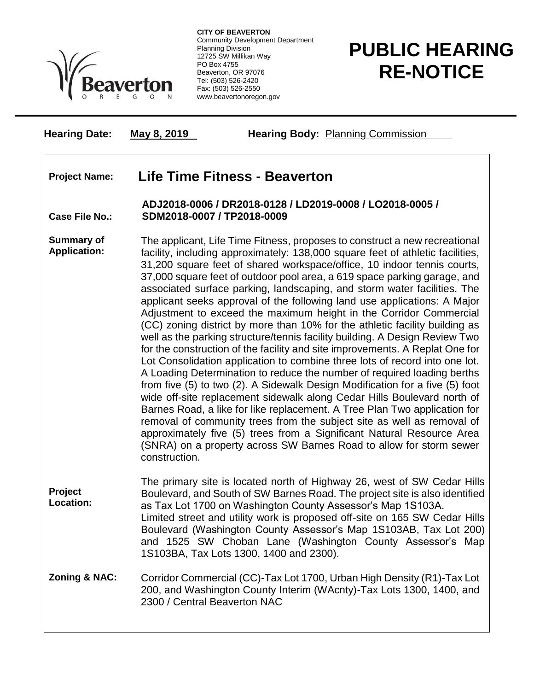

**CITY OF BEAVERTON** Community Development Department Planning Division 12725 SW Millikan Way PO Box 4755 Beaverton, OR 97076 Tel: (503) 526-2420 Fax: (503) 526-2550 www.beavertonoregon.gov

## **PUBLIC HEARING RE-NOTICE**

**Hearing Date: May 8, 2019 Hearing Body:** Planning Commission

## **Project Name: Life Time Fitness - Beaverton**

**Case File No.: ADJ2018-0006 / DR2018-0128 / LD2019-0008 / LO2018-0005 / SDM2018-0007 / TP2018-0009**

**Summary of Application:** The applicant, Life Time Fitness, proposes to construct a new recreational facility, including approximately: 138,000 square feet of athletic facilities, 31,200 square feet of shared workspace/office, 10 indoor tennis courts, 37,000 square feet of outdoor pool area, a 619 space parking garage, and associated surface parking, landscaping, and storm water facilities. The applicant seeks approval of the following land use applications: A Major Adjustment to exceed the maximum height in the Corridor Commercial (CC) zoning district by more than 10% for the athletic facility building as well as the parking structure/tennis facility building. A Design Review Two for the construction of the facility and site improvements. A Replat One for Lot Consolidation application to combine three lots of record into one lot. A Loading Determination to reduce the number of required loading berths from five (5) to two (2). A Sidewalk Design Modification for a five (5) foot wide off-site replacement sidewalk along Cedar Hills Boulevard north of Barnes Road, a like for like replacement. A Tree Plan Two application for removal of community trees from the subject site as well as removal of approximately five (5) trees from a Significant Natural Resource Area (SNRA) on a property across SW Barnes Road to allow for storm sewer construction.

**Project Location:** The primary site is located north of Highway 26, west of SW Cedar Hills Boulevard, and South of SW Barnes Road. The project site is also identified as Tax Lot 1700 on Washington County Assessor's Map 1S103A. Limited street and utility work is proposed off-site on 165 SW Cedar Hills Boulevard (Washington County Assessor's Map 1S103AB, Tax Lot 200) and 1525 SW Choban Lane (Washington County Assessor's Map 1S103BA, Tax Lots 1300, 1400 and 2300).

## **Zoning & NAC:** Corridor Commercial (CC)-Tax Lot 1700, Urban High Density (R1)-Tax Lot 200, and Washington County Interim (WAcnty)-Tax Lots 1300, 1400, and 2300 / Central Beaverton NAC